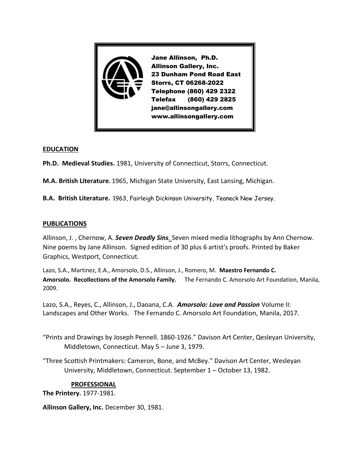

## **EDUCATION**

**Ph.D. Medieval Studies.** 1981, University of Connecticut, Storrs, Connecticut.

**M.A. British Literature.** 1965, Michigan State University, East Lansing, Michigan.

**B.A. British Literature.** 1963, Fairleigh Dickinson University, Teaneck New Jersey.

## **PUBLICATIONS**

Allinson, J. , Chernow, A. *[Seven Deadly Sins](http://allinsongallery.com/chernow/indexsins.html).* Seven mixed media lithographs by Ann Chernow. Nine poems by Jane Allinson. Signed edition of 30 plus 6 artist's proofs. Printed by Baker Graphics, Westport, Connecticut.

Lazo, S.A., Martinez, E.A., Amorsolo, D.S., Allinson, J., Romero, M. **Maestro Fernando C. Amorsolo. Recollections of the Amorsolo Family.** The Fernando C. Amorsolo Art Foundation, Manila, 2009.

Lazo, S.A., Reyes, C., Allinson, J., Daoana, C.A. *Amorsolo: Love and Passion* Volume II: Landscapes and Other Works. The Fernando C. Amorsolo Art Foundation, Manila, 2017.

"Prints and Drawings by Joseph Pennell. 1860-1926." Davison Art Center, Qesleyan University, Middletown, Connecticut. May 5 – June 3, 1979.

"Three Scottish Printmakers: Cameron, Bone, and McBey." Davison Art Center, Wesleyan University, Middletown, Connecticut. September 1 – October 13, 1982.

## **PROFESSIONAL**

**The Printery.** 1977-1981.

**Allinson Gallery, Inc.** December 30, 1981.